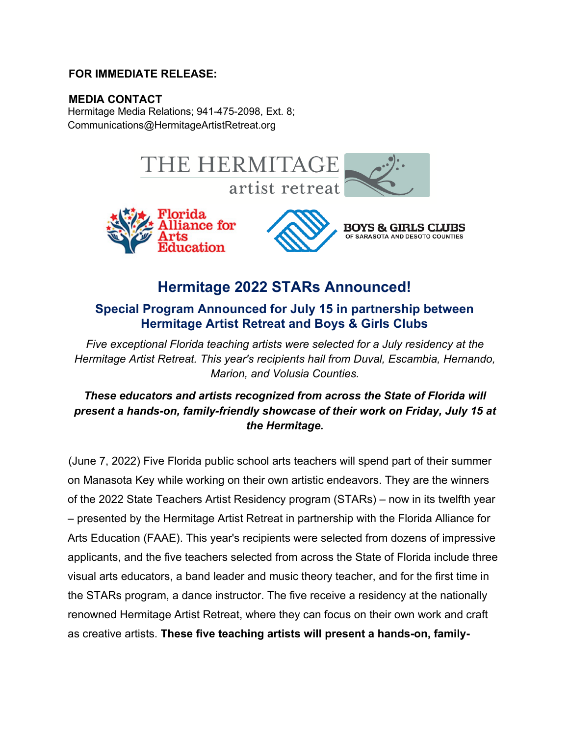# **FOR IMMEDIATE RELEASE:**

# **MEDIA CONTACT**

Hermitage Media Relations; 941-475-2098, Ext. 8; Communications@HermitageArtistRetreat.org



# **Hermitage 2022 STARs Announced!**

# **Special Program Announced for July 15 in partnership between Hermitage Artist Retreat and Boys & Girls Clubs**

*Five exceptional Florida teaching artists were selected for a July residency at the Hermitage Artist Retreat. This year's recipients hail from Duval, Escambia, Hernando, Marion, and Volusia Counties.* 

# *These educators and artists recognized from across the State of Florida will present a hands-on, family-friendly showcase of their work on Friday, July 15 at the Hermitage.*

(June 7, 2022) Five Florida public school arts teachers will spend part of their summer on Manasota Key while working on their own artistic endeavors. They are the winners of the 2022 State Teachers Artist Residency program (STARs) – now in its twelfth year – presented by the Hermitage Artist Retreat in partnership with the Florida Alliance for Arts Education (FAAE). This year's recipients were selected from dozens of impressive applicants, and the five teachers selected from across the State of Florida include three visual arts educators, a band leader and music theory teacher, and for the first time in the STARs program, a dance instructor. The five receive a residency at the nationally renowned Hermitage Artist Retreat, where they can focus on their own work and craft as creative artists. **These five teaching artists will present a hands-on, family-**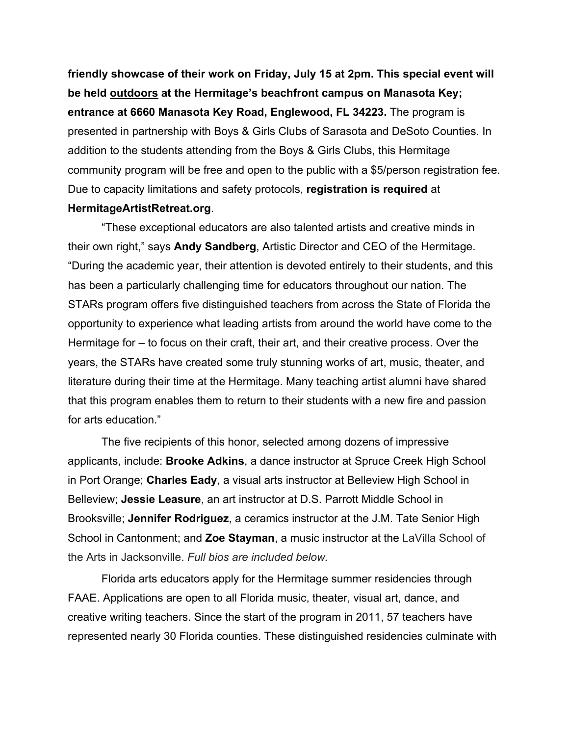**friendly showcase of their work on Friday, July 15 at 2pm. This special event will be held outdoors at the Hermitage's beachfront campus on Manasota Key; entrance at 6660 Manasota Key Road, Englewood, FL 34223.** The program is presented in partnership with Boys & Girls Clubs of Sarasota and DeSoto Counties. In addition to the students attending from the Boys & Girls Clubs, this Hermitage community program will be free and open to the public with a \$5/person registration fee. Due to capacity limitations and safety protocols, **registration is required** at **HermitageArtistRetreat.org**.

"These exceptional educators are also talented artists and creative minds in their own right," says **Andy Sandberg**, Artistic Director and CEO of the Hermitage. "During the academic year, their attention is devoted entirely to their students, and this has been a particularly challenging time for educators throughout our nation. The STARs program offers five distinguished teachers from across the State of Florida the opportunity to experience what leading artists from around the world have come to the Hermitage for – to focus on their craft, their art, and their creative process. Over the years, the STARs have created some truly stunning works of art, music, theater, and literature during their time at the Hermitage. Many teaching artist alumni have shared that this program enables them to return to their students with a new fire and passion for arts education."

The five recipients of this honor, selected among dozens of impressive applicants, include: **Brooke Adkins**, a dance instructor at Spruce Creek High School in Port Orange; **Charles Eady**, a visual arts instructor at Belleview High School in Belleview; **Jessie Leasure**, an art instructor at D.S. Parrott Middle School in Brooksville; **Jennifer Rodriguez**, a ceramics instructor at the J.M. Tate Senior High School in Cantonment; and **Zoe Stayman**, a music instructor at the LaVilla School of the Arts in Jacksonville. *Full bios are included below.*

Florida arts educators apply for the Hermitage summer residencies through FAAE. Applications are open to all Florida music, theater, visual art, dance, and creative writing teachers. Since the start of the program in 2011, 57 teachers have represented nearly 30 Florida counties. These distinguished residencies culminate with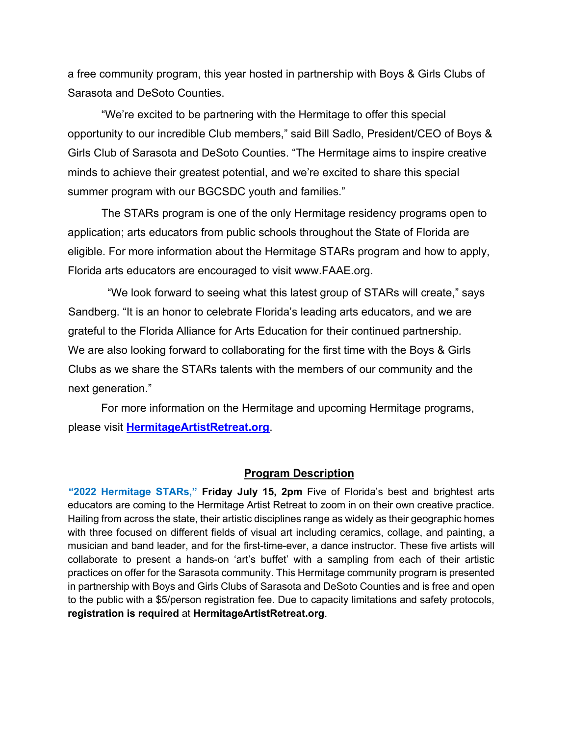a free community program, this year hosted in partnership with Boys & Girls Clubs of Sarasota and DeSoto Counties.

"We're excited to be partnering with the Hermitage to offer this special opportunity to our incredible Club members," said Bill Sadlo, President/CEO of Boys & Girls Club of Sarasota and DeSoto Counties. "The Hermitage aims to inspire creative minds to achieve their greatest potential, and we're excited to share this special summer program with our BGCSDC youth and families."

The STARs program is one of the only Hermitage residency programs open to application; arts educators from public schools throughout the State of Florida are eligible. For more information about the Hermitage STARs program and how to apply, Florida arts educators are encouraged to visit www.FAAE.org.

"We look forward to seeing what this latest group of STARs will create," says Sandberg. "It is an honor to celebrate Florida's leading arts educators, and we are grateful to the Florida Alliance for Arts Education for their continued partnership. We are also looking forward to collaborating for the first time with the Boys & Girls Clubs as we share the STARs talents with the members of our community and the next generation."

For more information on the Hermitage and upcoming Hermitage programs, please visit **HermitageArtistRetreat.org**.

#### **Program Description**

**"2022 Hermitage STARs," Friday July 15, 2pm** Five of Florida's best and brightest arts educators are coming to the Hermitage Artist Retreat to zoom in on their own creative practice. Hailing from across the state, their artistic disciplines range as widely as their geographic homes with three focused on different fields of visual art including ceramics, collage, and painting, a musician and band leader, and for the first-time-ever, a dance instructor. These five artists will collaborate to present a hands-on 'art's buffet' with a sampling from each of their artistic practices on offer for the Sarasota community. This Hermitage community program is presented in partnership with Boys and Girls Clubs of Sarasota and DeSoto Counties and is free and open to the public with a \$5/person registration fee. Due to capacity limitations and safety protocols, **registration is required** at **HermitageArtistRetreat.org**.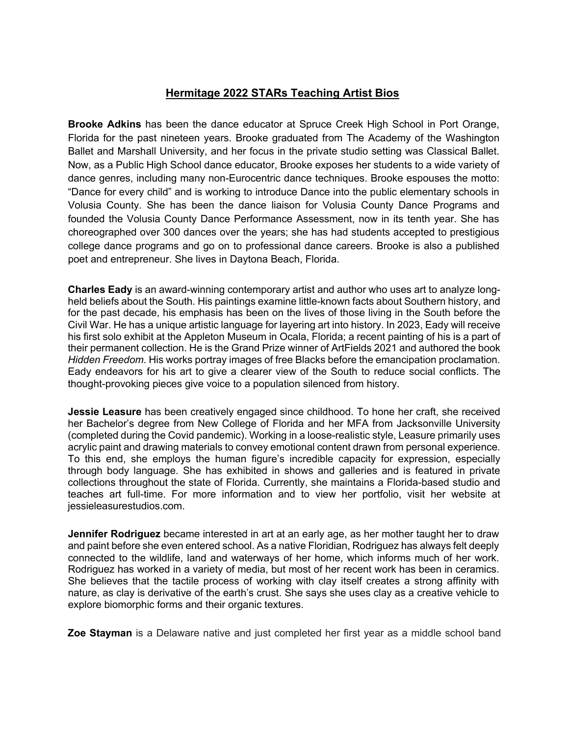#### **Hermitage 2022 STARs Teaching Artist Bios**

**Brooke Adkins** has been the dance educator at Spruce Creek High School in Port Orange, Florida for the past nineteen years. Brooke graduated from The Academy of the Washington Ballet and Marshall University, and her focus in the private studio setting was Classical Ballet. Now, as a Public High School dance educator, Brooke exposes her students to a wide variety of dance genres, including many non-Eurocentric dance techniques. Brooke espouses the motto: "Dance for every child" and is working to introduce Dance into the public elementary schools in Volusia County. She has been the dance liaison for Volusia County Dance Programs and founded the Volusia County Dance Performance Assessment, now in its tenth year. She has choreographed over 300 dances over the years; she has had students accepted to prestigious college dance programs and go on to professional dance careers. Brooke is also a published poet and entrepreneur. She lives in Daytona Beach, Florida.

**Charles Eady** is an award-winning contemporary artist and author who uses art to analyze longheld beliefs about the South. His paintings examine little-known facts about Southern history, and for the past decade, his emphasis has been on the lives of those living in the South before the Civil War. He has a unique artistic language for layering art into history. In 2023, Eady will receive his first solo exhibit at the Appleton Museum in Ocala, Florida; a recent painting of his is a part of their permanent collection. He is the Grand Prize winner of ArtFields 2021 and authored the book *Hidden Freedom*. His works portray images of free Blacks before the emancipation proclamation. Eady endeavors for his art to give a clearer view of the South to reduce social conflicts. The thought-provoking pieces give voice to a population silenced from history.

**Jessie Leasure** has been creatively engaged since childhood. To hone her craft, she received her Bachelor's degree from New College of Florida and her MFA from Jacksonville University (completed during the Covid pandemic). Working in a loose-realistic style, Leasure primarily uses acrylic paint and drawing materials to convey emotional content drawn from personal experience. To this end, she employs the human figure's incredible capacity for expression, especially through body language. She has exhibited in shows and galleries and is featured in private collections throughout the state of Florida. Currently, she maintains a Florida-based studio and teaches art full-time. For more information and to view her portfolio, visit her website at jessieleasurestudios.com.

**Jennifer Rodriguez** became interested in art at an early age, as her mother taught her to draw and paint before she even entered school. As a native Floridian, Rodriguez has always felt deeply connected to the wildlife, land and waterways of her home, which informs much of her work. Rodriguez has worked in a variety of media, but most of her recent work has been in ceramics. She believes that the tactile process of working with clay itself creates a strong affinity with nature, as clay is derivative of the earth's crust. She says she uses clay as a creative vehicle to explore biomorphic forms and their organic textures.

**Zoe Stayman** is a Delaware native and just completed her first year as a middle school band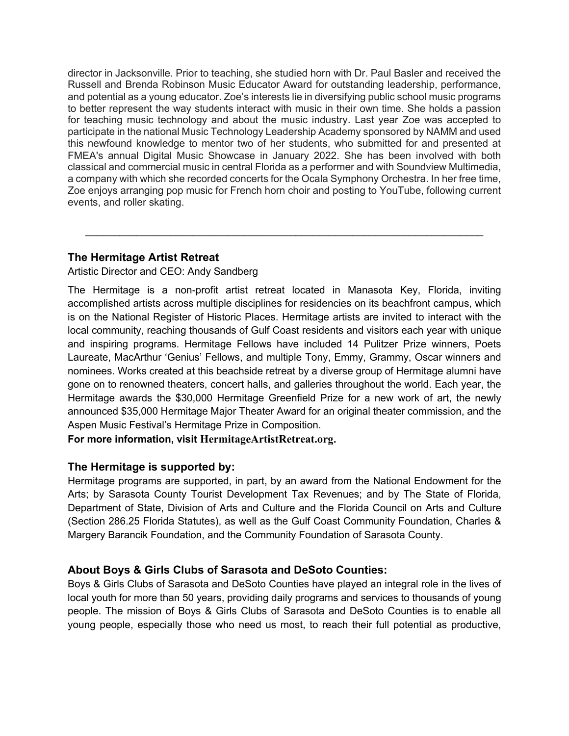director in Jacksonville. Prior to teaching, she studied horn with Dr. Paul Basler and received the Russell and Brenda Robinson Music Educator Award for outstanding leadership, performance, and potential as a young educator. Zoe's interests lie in diversifying public school music programs to better represent the way students interact with music in their own time. She holds a passion for teaching music technology and about the music industry. Last year Zoe was accepted to participate in the national Music Technology Leadership Academy sponsored by NAMM and used this newfound knowledge to mentor two of her students, who submitted for and presented at FMEA's annual Digital Music Showcase in January 2022. She has been involved with both classical and commercial music in central Florida as a performer and with Soundview Multimedia, a company with which she recorded concerts for the Ocala Symphony Orchestra. In her free time, Zoe enjoys arranging pop music for French horn choir and posting to YouTube, following current events, and roller skating.

 $\mathcal{L}_\text{max} = \mathcal{L}_\text{max} = \mathcal{L}_\text{max} = \mathcal{L}_\text{max} = \mathcal{L}_\text{max} = \mathcal{L}_\text{max} = \mathcal{L}_\text{max} = \mathcal{L}_\text{max} = \mathcal{L}_\text{max} = \mathcal{L}_\text{max} = \mathcal{L}_\text{max} = \mathcal{L}_\text{max} = \mathcal{L}_\text{max} = \mathcal{L}_\text{max} = \mathcal{L}_\text{max} = \mathcal{L}_\text{max} = \mathcal{L}_\text{max} = \mathcal{L}_\text{max} = \mathcal{$ 

## **The Hermitage Artist Retreat**

Artistic Director and CEO: Andy Sandberg

The Hermitage is a non-profit artist retreat located in Manasota Key, Florida, inviting accomplished artists across multiple disciplines for residencies on its beachfront campus, which is on the National Register of Historic Places. Hermitage artists are invited to interact with the local community, reaching thousands of Gulf Coast residents and visitors each year with unique and inspiring programs. Hermitage Fellows have included 14 Pulitzer Prize winners, Poets Laureate, MacArthur 'Genius' Fellows, and multiple Tony, Emmy, Grammy, Oscar winners and nominees. Works created at this beachside retreat by a diverse group of Hermitage alumni have gone on to renowned theaters, concert halls, and galleries throughout the world. Each year, the Hermitage awards the \$30,000 Hermitage Greenfield Prize for a new work of art, the newly announced \$35,000 Hermitage Major Theater Award for an original theater commission, and the Aspen Music Festival's Hermitage Prize in Composition.

**For more information, visit HermitageArtistRetreat.org.**

#### **The Hermitage is supported by:**

Hermitage programs are supported, in part, by an award from the National Endowment for the Arts; by Sarasota County Tourist Development Tax Revenues; and by The State of Florida, Department of State, Division of Arts and Culture and the Florida Council on Arts and Culture (Section 286.25 Florida Statutes), as well as the Gulf Coast Community Foundation, Charles & Margery Barancik Foundation, and the Community Foundation of Sarasota County.

## **About Boys & Girls Clubs of Sarasota and DeSoto Counties:**

Boys & Girls Clubs of Sarasota and DeSoto Counties have played an integral role in the lives of local youth for more than 50 years, providing daily programs and services to thousands of young people. The mission of Boys & Girls Clubs of Sarasota and DeSoto Counties is to enable all young people, especially those who need us most, to reach their full potential as productive,